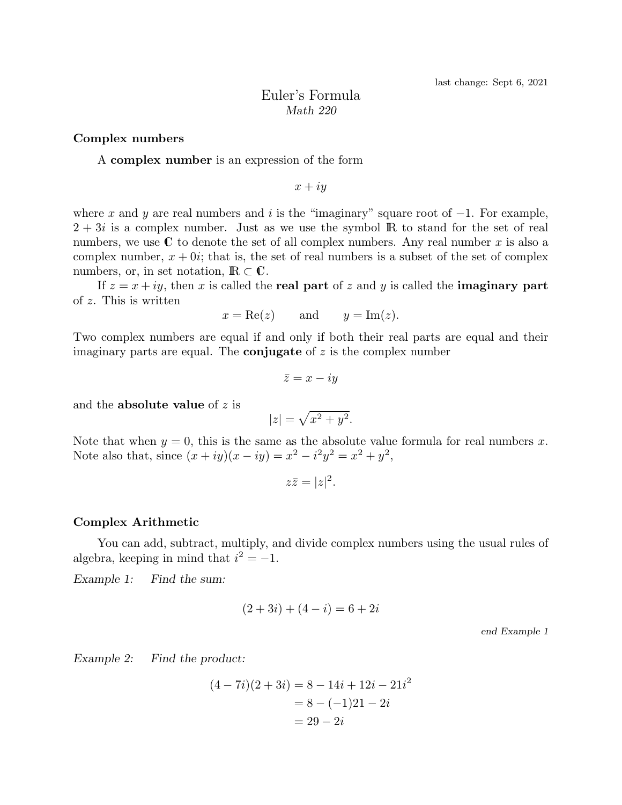# Euler's Formula *Math 220*

### Complex numbers

#### A complex number is an expression of the form

$$
x+iy
$$

where x and y are real numbers and i is the "imaginary" square root of  $-1$ . For example,  $2 + 3i$  is a complex number. Just as we use the symbol IR to stand for the set of real numbers, we use  $\mathbb C$  to denote the set of all complex numbers. Any real number x is also a complex number,  $x + 0i$ ; that is, the set of real numbers is a subset of the set of complex numbers, or, in set notation,  $\mathbb{R} \subset \mathbb{C}$ .

If  $z = x + iy$ , then x is called the real part of z and y is called the imaginary part of z. This is written

$$
x = \text{Re}(z)
$$
 and  $y = \text{Im}(z)$ .

Two complex numbers are equal if and only if both their real parts are equal and their imaginary parts are equal. The **conjugate** of  $z$  is the complex number

$$
\bar{z} = x - iy
$$

and the **absolute value** of  $z$  is

$$
|z| = \sqrt{x^2 + y^2}.
$$

Note that when  $y = 0$ , this is the same as the absolute value formula for real numbers x. Note also that, since  $(x + iy)(x - iy) = x^2 - i^2y^2 = x^2 + y^2$ ,

$$
z\bar{z} = |z|^2.
$$

#### Complex Arithmetic

You can add, subtract, multiply, and divide complex numbers using the usual rules of algebra, keeping in mind that  $i^2 = -1$ .

*Example 1: Find the sum:*

$$
(2+3i) + (4-i) = 6+2i
$$

end Example 1

*Example 2: Find the product:*

$$
(4-7i)(2+3i) = 8 - 14i + 12i - 21i2
$$
  
= 8 - (-1)21 - 2i  
= 29 - 2i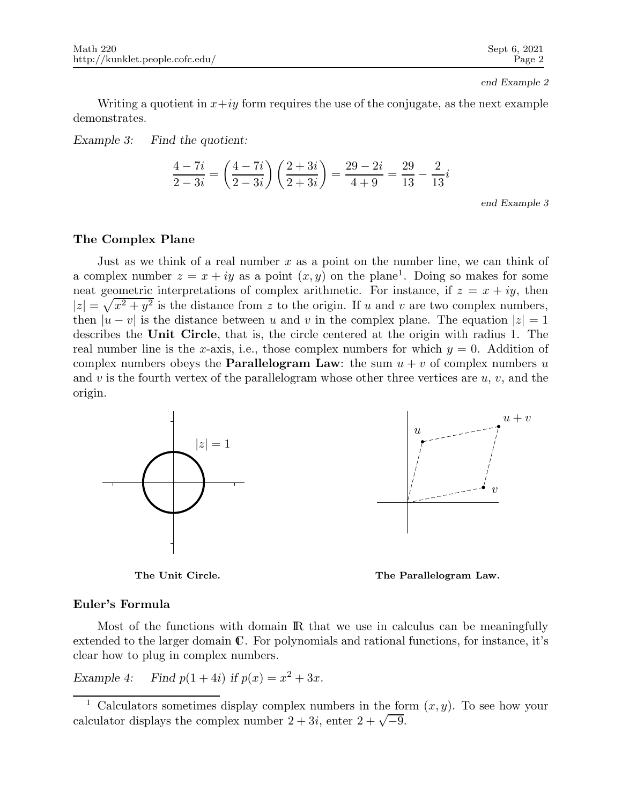end Example 2

Writing a quotient in  $x+iy$  form requires the use of the conjugate, as the next example demonstrates.

*Example 3: Find the quotient:*

$$
\frac{4-7i}{2-3i} = \left(\frac{4-7i}{2-3i}\right)\left(\frac{2+3i}{2+3i}\right) = \frac{29-2i}{4+9} = \frac{29}{13} - \frac{2}{13}i
$$

end Example 3

# The Complex Plane

Just as we think of a real number x as a point on the number line, we can think of a complex number  $z = x + iy$  as a point  $(x, y)$  on the plane<sup>1</sup>. Doing so makes for some neat geometric interpretations of complex arithmetic. For instance, if  $z = x + iy$ , then  $|z| = \sqrt{x^2 + y^2}$  is the distance from z to the origin. If u and v are two complex numbers, then  $|u - v|$  is the distance between u and v in the complex plane. The equation  $|z| = 1$ describes the Unit Circle, that is, the circle centered at the origin with radius 1. The real number line is the x-axis, i.e., those complex numbers for which  $y = 0$ . Addition of complex numbers obeys the **Parallelogram Law**: the sum  $u + v$  of complex numbers u and v is the fourth vertex of the parallelogram whose other three vertices are  $u, v$ , and the origin.



The Unit Circle. The Parallelogram Law.

### Euler's Formula

Most of the functions with domain IR that we use in calculus can be meaningfully extended to the larger domain C. For polynomials and rational functions, for instance, it's clear how to plug in complex numbers.

*Example 4:* Find  $p(1 + 4i)$  *if*  $p(x) = x^2 + 3x$ *.* 

<sup>&</sup>lt;sup>1</sup> Calculators sometimes display complex numbers in the form  $(x, y)$ . To see how your calculator displays the complex number  $2 + 3i$ , enter  $2 + \sqrt{-9}$ .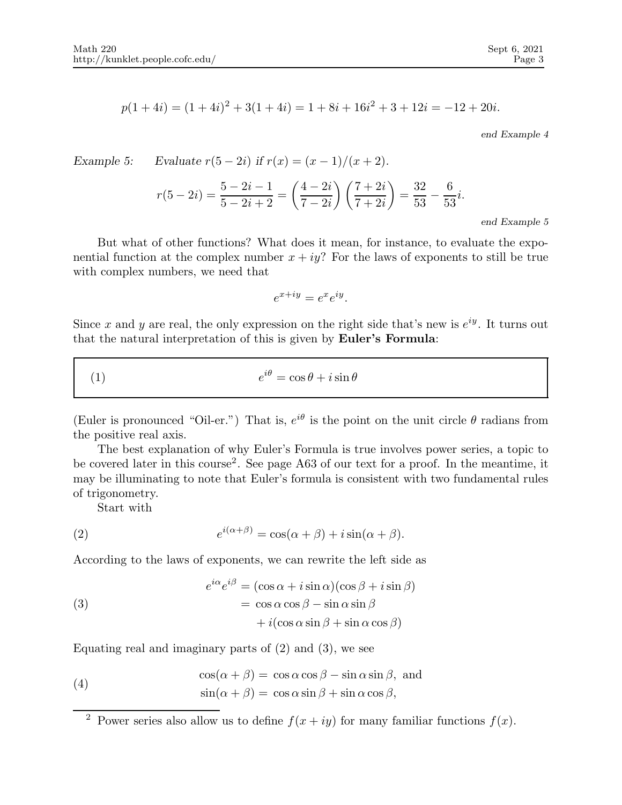$$
p(1+4i) = (1+4i)^2 + 3(1+4i) = 1 + 8i + 16i^2 + 3 + 12i = -12 + 20i.
$$

end Example 4

Example 5: Evaluate 
$$
r(5-2i)
$$
 if  $r(x) = (x - 1)/(x + 2)$ .  
\n
$$
r(5-2i) = \frac{5-2i-1}{5-2i+2} = \left(\frac{4-2i}{7-2i}\right)\left(\frac{7+2i}{7+2i}\right) = \frac{32}{53} - \frac{6}{53}i.
$$
\n
$$
r(5-2i) = \frac{5-2i-1}{5-2i+2} = \left(\frac{4-2i}{7-2i}\right)\left(\frac{7+2i}{7+2i}\right) = \frac{32}{53} - \frac{6}{53}i.
$$
\n
$$
r(5-2i) = \frac{5-2i-1}{5-2i+2} = \frac{1}{5-2i} = \frac{1}{5-2i} = \frac{1}{5-2i} = \frac{1}{5-2i} = \frac{1}{5-2i} = \frac{1}{5-2i} = \frac{1}{5-2i} = \frac{1}{5-2i} = \frac{1}{5-2i} = \frac{1}{5-2i} = \frac{1}{5-2i} = \frac{1}{5-2i} = \frac{1}{5-2i} = \frac{1}{5-2i} = \frac{1}{5-2i} = \frac{1}{5-2i} = \frac{1}{5-2i} = \frac{1}{5-2i} = \frac{1}{5-2i} = \frac{1}{5-2i} = \frac{1}{5-2i} = \frac{1}{5-2i} = \frac{1}{5-2i} = \frac{1}{5-2i} = \frac{1}{5-2i} = \frac{1}{5-2i} = \frac{1}{5-2i} = \frac{1}{5-2i} = \frac{1}{5-2i} = \frac{1}{5-2i} = \frac{1}{5-2i} = \frac{1}{5-2i} = \frac{1}{5-2i} = \frac{1}{5-2i} = \frac{1}{5-2i} = \frac{1}{5-2i} = \frac{1}{5-2i} = \frac{1}{5-2i} = \frac{1}{5-2i} = \frac{1}{5-2i} = \frac{1}{5-2i} = \frac{1}{5-2i} = \frac{1}{5-2i} = \frac{1}{5-2i} = \frac{1}{5-2i} = \frac{1}{5-2i} = \frac{1}{5-2i
$$

But what of other functions? What does it mean, for instance, to evaluate the exponential function at the complex number  $x + iy$ ? For the laws of exponents to still be true with complex numbers, we need that

$$
e^{x+iy} = e^x e^{iy}.
$$

Since x and y are real, the only expression on the right side that's new is  $e^{iy}$ . It turns out that the natural interpretation of this is given by Euler's Formula:

(1) 
$$
e^{i\theta} = \cos\theta + i\sin\theta
$$

(Euler is pronounced "Oil-er.") That is,  $e^{i\theta}$  is the point on the unit circle  $\theta$  radians from the positive real axis.

The best explanation of why Euler's Formula is true involves power series, a topic to be covered later in this course<sup>2</sup>. See page A63 of our text for a proof. In the meantime, it may be illuminating to note that Euler's formula is consistent with two fundamental rules of trigonometry.

Start with

(2) 
$$
e^{i(\alpha+\beta)} = \cos(\alpha+\beta) + i\sin(\alpha+\beta).
$$

According to the laws of exponents, we can rewrite the left side as

(3)  
\n
$$
e^{i\alpha}e^{i\beta} = (\cos \alpha + i \sin \alpha)(\cos \beta + i \sin \beta)
$$
\n
$$
= \cos \alpha \cos \beta - \sin \alpha \sin \beta
$$
\n
$$
+ i(\cos \alpha \sin \beta + \sin \alpha \cos \beta)
$$

Equating real and imaginary parts of  $(2)$  and  $(3)$ , we see

(4) 
$$
\cos(\alpha + \beta) = \cos \alpha \cos \beta - \sin \alpha \sin \beta, \text{ and}
$$

$$
\sin(\alpha + \beta) = \cos \alpha \sin \beta + \sin \alpha \cos \beta,
$$

<sup>&</sup>lt;sup>2</sup> Power series also allow us to define  $f(x + iy)$  for many familiar functions  $f(x)$ .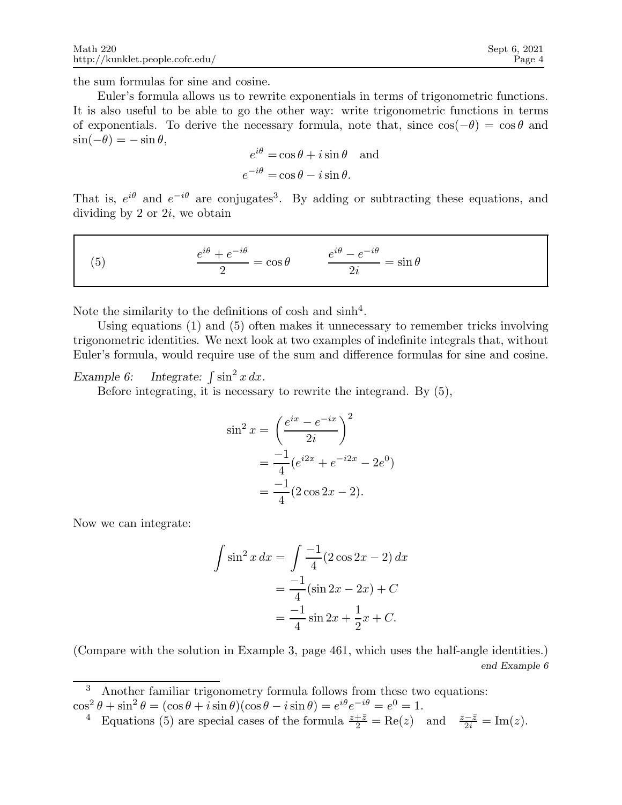the sum formulas for sine and cosine.

Euler's formula allows us to rewrite exponentials in terms of trigonometric functions. It is also useful to be able to go the other way: write trigonometric functions in terms of exponentials. To derive the necessary formula, note that, since  $\cos(-\theta) = \cos \theta$  and  $\sin(-\theta) = -\sin\theta$ ,

$$
e^{i\theta} = \cos \theta + i \sin \theta \text{ and}
$$
  

$$
e^{-i\theta} = \cos \theta - i \sin \theta.
$$

That is,  $e^{i\theta}$  and  $e^{-i\theta}$  are conjugates<sup>3</sup>. By adding or subtracting these equations, and dividing by  $2$  or  $2i$ , we obtain

(5) 
$$
\frac{e^{i\theta} + e^{-i\theta}}{2} = \cos \theta \qquad \frac{e^{i\theta} - e^{-i\theta}}{2i} = \sin \theta
$$

Note the similarity to the definitions of cosh and  $\sinh^4$ .

Using equations (1) and (5) often makes it unnecessary to remember tricks involving trigonometric identities. We next look at two examples of indefinite integrals that, without Euler's formula, would require use of the sum and difference formulas for sine and cosine.

*Example 6:* Integrate:  $\int \sin^2 x \, dx$ .

Before integrating, it is necessary to rewrite the integrand. By (5),

$$
\sin^2 x = \left(\frac{e^{ix} - e^{-ix}}{2i}\right)^2
$$

$$
= \frac{-1}{4}(e^{i2x} + e^{-i2x} - 2e^0)
$$

$$
= \frac{-1}{4}(2\cos 2x - 2).
$$

Now we can integrate:

$$
\int \sin^2 x \, dx = \int \frac{-1}{4} (2 \cos 2x - 2) \, dx
$$

$$
= \frac{-1}{4} (\sin 2x - 2x) + C
$$

$$
= \frac{-1}{4} \sin 2x + \frac{1}{2} x + C.
$$

(Compare with the solution in Example 3, page 461, which uses the half-angle identities.) end Example 6

Another familiar trigonometry formula follows from these two equations:  $\cos^2 \theta + \sin^2 \theta = (\cos \theta + i \sin \theta)(\cos \theta - i \sin \theta) = e^{i\theta} e^{-i\theta} = e^0 = 1.$ 

<sup>4</sup> Equations (5) are special cases of the formula  $\frac{z+\bar{z}}{2} = \text{Re}(z)$  and  $\frac{z-\bar{z}}{2i} = \text{Im}(z)$ .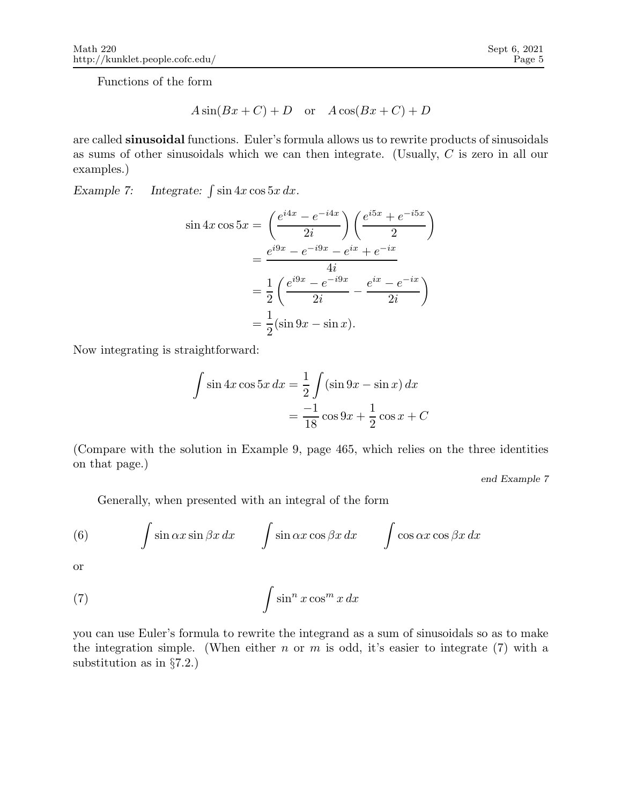Functions of the form

$$
A\sin(Bx+C) + D \quad \text{or} \quad A\cos(Bx+C) + D
$$

are called sinusoidal functions. Euler's formula allows us to rewrite products of sinusoidals as sums of other sinusoidals which we can then integrate. (Usually, C is zero in all our examples.)

*Example 7:* Integrate:  $\int \sin 4x \cos 5x \, dx$ .

$$
\sin 4x \cos 5x = \left(\frac{e^{i4x} - e^{-i4x}}{2i}\right) \left(\frac{e^{i5x} + e^{-i5x}}{2}\right)
$$

$$
= \frac{e^{i9x} - e^{-i9x} - e^{ix} + e^{-ix}}{4i}
$$

$$
= \frac{1}{2} \left(\frac{e^{i9x} - e^{-i9x}}{2i} - \frac{e^{ix} - e^{-ix}}{2i}\right)
$$

$$
= \frac{1}{2} (\sin 9x - \sin x).
$$

Now integrating is straightforward:

$$
\int \sin 4x \cos 5x \, dx = \frac{1}{2} \int (\sin 9x - \sin x) \, dx
$$

$$
= \frac{-1}{18} \cos 9x + \frac{1}{2} \cos x + C
$$

(Compare with the solution in Example 9, page 465, which relies on the three identities on that page.)

end Example 7

Generally, when presented with an integral of the form

(6) 
$$
\int \sin \alpha x \sin \beta x \, dx \qquad \int \sin \alpha x \cos \beta x \, dx \qquad \int \cos \alpha x \cos \beta x \, dx
$$

or

(7) 
$$
\int \sin^n x \cos^m x \, dx
$$

you can use Euler's formula to rewrite the integrand as a sum of sinusoidals so as to make the integration simple. (When either  $n$  or  $m$  is odd, it's easier to integrate (7) with a substitution as in §7.2.)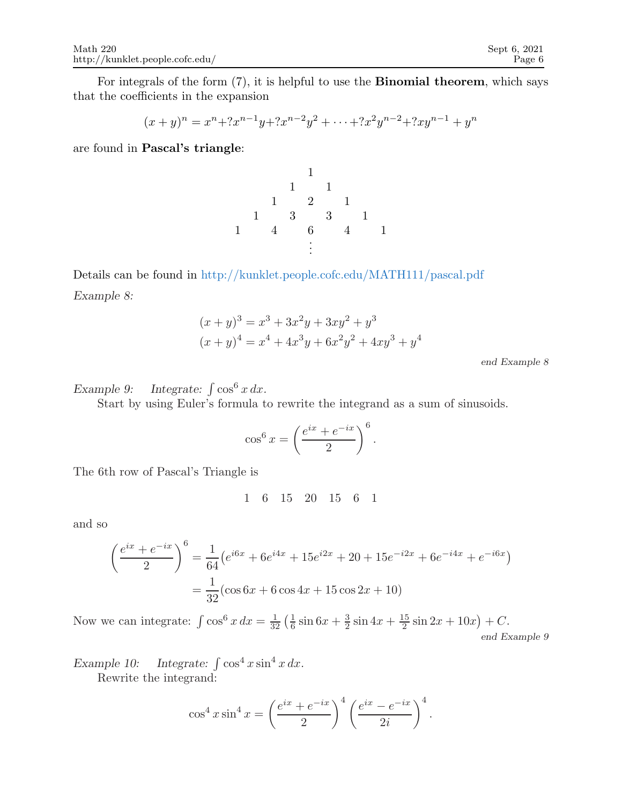For integrals of the form (7), it is helpful to use the Binomial theorem, which says that the coefficients in the expansion

$$
(x+y)^n = x^n + 2x^{n-1}y + 2x^{n-2}y^2 + \dots + 2x^2y^{n-2} + 2xy^{n-1} + y^n
$$

are found in Pascal's triangle:

1 1 1 1 2 1 1 3 3 1 1 4 6 4 1 . . .

Details can be found in http://kunklet.people.cofc.edu/MATH111/pascal.pdf *Example 8:*

$$
(x + y)3 = x3 + 3x2y + 3xy2 + y3
$$
  

$$
(x + y)4 = x4 + 4x3y + 6x2y2 + 4xy3 + y4
$$

end Example 8

*Example 9:* Integrate:  $\int \cos^6 x \, dx$ .

Start by using Euler's formula to rewrite the integrand as a sum of sinusoids.

$$
\cos^6 x = \left(\frac{e^{ix} + e^{-ix}}{2}\right)^6
$$

.

The 6th row of Pascal's Triangle is

$$
1\quad 6\quad 15\quad 20\quad 15\quad 6\quad 1
$$

and so

$$
\left(\frac{e^{ix} + e^{-ix}}{2}\right)^6 = \frac{1}{64} \left(e^{i6x} + 6e^{i4x} + 15e^{i2x} + 20 + 15e^{-i2x} + 6e^{-i4x} + e^{-i6x}\right)
$$

$$
= \frac{1}{32} (\cos 6x + 6 \cos 4x + 15 \cos 2x + 10)
$$

Now we can integrate:  $\int \cos^6 x \, dx = \frac{1}{32} \left( \frac{1}{6} \right)$  $\frac{1}{6}$  sin 6x +  $\frac{3}{2}$  $rac{3}{2}\sin 4x + \frac{15}{2}$  $\frac{15}{2}\sin 2x + 10x + C.$ end Example 9

*Example 10:* Integrate:  $\int \cos^4 x \sin^4 x \, dx$ .

Rewrite the integrand:

$$
\cos^4 x \sin^4 x = \left(\frac{e^{ix} + e^{-ix}}{2}\right)^4 \left(\frac{e^{ix} - e^{-ix}}{2i}\right)^4.
$$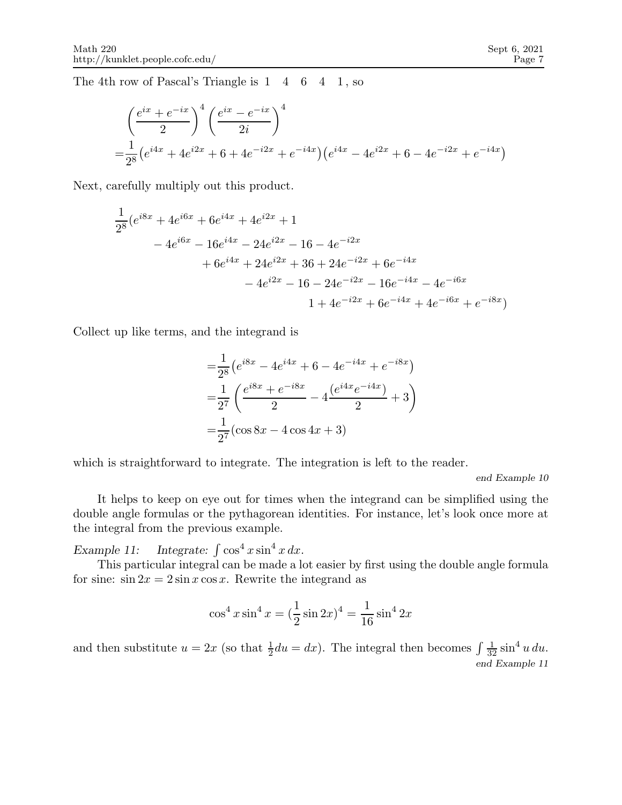The 4th row of Pascal's Triangle is 1 4 6 4 1, so

$$
\left(\frac{e^{ix} + e^{-ix}}{2}\right)^4 \left(\frac{e^{ix} - e^{-ix}}{2i}\right)^4
$$
  
=  $\frac{1}{2^8} \left(e^{i4x} + 4e^{i2x} + 6 + 4e^{-i2x} + e^{-i4x}\right) \left(e^{i4x} - 4e^{i2x} + 6 - 4e^{-i2x} + e^{-i4x}\right)$ 

Next, carefully multiply out this product.

$$
\frac{1}{2^8} (e^{i8x} + 4e^{i6x} + 6e^{i4x} + 4e^{i2x} + 1
$$
  
\n
$$
- 4e^{i6x} - 16e^{i4x} - 24e^{i2x} - 16 - 4e^{-i2x}
$$
  
\n
$$
+ 6e^{i4x} + 24e^{i2x} + 36 + 24e^{-i2x} + 6e^{-i4x}
$$
  
\n
$$
- 4e^{i2x} - 16 - 24e^{-i2x} - 16e^{-i4x} - 4e^{-i6x}
$$
  
\n
$$
1 + 4e^{-i2x} + 6e^{-i4x} + 4e^{-i6x} + e^{-i8x})
$$

Collect up like terms, and the integrand is

$$
= \frac{1}{2^8} \left( e^{i8x} - 4e^{i4x} + 6 - 4e^{-i4x} + e^{-i8x} \right)
$$
  

$$
= \frac{1}{2^7} \left( \frac{e^{i8x} + e^{-i8x}}{2} - 4 \frac{(e^{i4x}e^{-i4x})}{2} + 3 \right)
$$
  

$$
= \frac{1}{2^7} (\cos 8x - 4 \cos 4x + 3)
$$

which is straightforward to integrate. The integration is left to the reader.

end Example 10

It helps to keep on eye out for times when the integrand can be simplified using the double angle formulas or the pythagorean identities. For instance, let's look once more at the integral from the previous example.

*Example 11:* Integrate:  $\int \cos^4 x \sin^4 x \, dx$ .

This particular integral can be made a lot easier by first using the double angle formula for sine:  $\sin 2x = 2 \sin x \cos x$ . Rewrite the integrand as

$$
\cos^4 x \sin^4 x = (\frac{1}{2}\sin 2x)^4 = \frac{1}{16}\sin^4 2x
$$

and then substitute  $u = 2x$  (so that  $\frac{1}{2}du = dx$ ). The integral then becomes  $\int \frac{1}{32} \sin^4 u \, du$ . end Example 11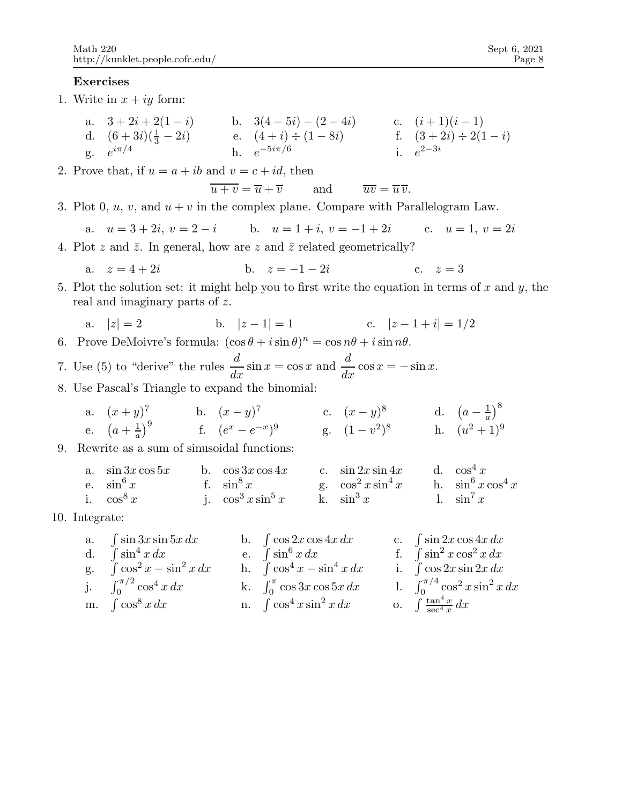## Exercises

- 1. Write in  $x + iy$  form:
	- a.  $3+2i+2(1-i)$  b.  $3(4-5i)-(2-4i)$  c.  $(i+1)(i-1)$ d.  $(6+3i)(\frac{1}{3}-2i)$  e.  $(4+i) \div (1-8i)$  f.  $(3+2i) \div 2(1-i)$ g.  $e^{i\pi/4}$  h.  $e^{-5i\pi/6}$  i.  $e^{2-3i}$
- 2. Prove that, if  $u = a + ib$  and  $v = c + id$ , then

$$
\overline{u+v} = \overline{u} + \overline{v}
$$
 and  $\overline{uv} = \overline{u}\,\overline{v}$ .

3. Plot 0, u, v, and  $u + v$  in the complex plane. Compare with Parallelogram Law.

a.  $u = 3 + 2i$ ,  $v = 2 - i$  b.  $u = 1 + i$ ,  $v = -1 + 2i$  c.  $u = 1$ ,  $v = 2i$ 

4. Plot z and  $\bar{z}$ . In general, how are z and  $\bar{z}$  related geometrically?

a. 
$$
z = 4 + 2i
$$
 b.  $z = -1 - 2i$  c.  $z = 3$ 

5. Plot the solution set: it might help you to first write the equation in terms of  $x$  and  $y$ , the real and imaginary parts of z.

a. 
$$
|z| = 2
$$
 b.  $|z - 1| = 1$  c.  $|z - 1 + i| = 1/2$ 

- 6. Prove DeMoivre's formula:  $(\cos \theta + i \sin \theta)^n = \cos n\theta + i \sin n\theta$ .
- 7. Use (5) to "derive" the rules  $\frac{d}{dx} \sin x = \cos x$  and  $\frac{d}{dx} \cos x = -\sin x$ .
- 8. Use Pascal's Triangle to expand the binomial:

a. 
$$
(x+y)^7
$$
 b.  $(x-y)^7$  c.  $(x-y)^8$  d.  $(a-\frac{1}{a})^8$   
e.  $(a+\frac{1}{a})^9$  f.  $(e^x-e^{-x})^9$  g.  $(1-v^2)^8$  h.  $(u^2+1)^9$ 

9. Rewrite as a sum of sinusoidal functions:

a. 
$$
\sin 3x \cos 5x
$$
 b.  $\cos 3x \cos 4x$  c.  $\sin 2x \sin 4x$  d.  $\cos^4 x$   
e.  $\sin^6 x$  f.  $\sin^8 x$  g.  $\cos^2 x \sin^4 x$  h.  $\sin^6 x \cos^4 x$   
i.  $\cos^8 x$  j.  $\cos^3 x \sin^5 x$  k.  $\sin^3 x$  l.  $\sin^7 x$ 

10. Integrate:

| a. $\int \sin 3x \sin 5x dx$       | b. $\int \cos 2x \cos 4x dx$         | c. $\int \sin 2x \cos 4x dx$                |
|------------------------------------|--------------------------------------|---------------------------------------------|
| d. $\int \sin^4 x dx$              | e. $\int \sin^6 x dx$                | f. $\int \sin^2 x \cos^2 x dx$              |
| g. $\int \cos^2 x - \sin^2 x dx$   | h. $\int \cos^4 x - \sin^4 x \, dx$  | i. $\int \cos 2x \sin 2x dx$                |
| j. $\int_0^{\pi/2} \cos^4 x \, dx$ | k. $\int_0^{\pi} \cos 3x \cos 5x dx$ | 1. $\int_0^{\pi/4} \cos^2 x \sin^2 x \, dx$ |
| m. $\int \cos^8 x \, dx$           | n. $\int \cos^4 x \sin^2 x dx$       | o. $\int \frac{\tan^4 x}{\sec^4 x} dx$      |
|                                    |                                      |                                             |